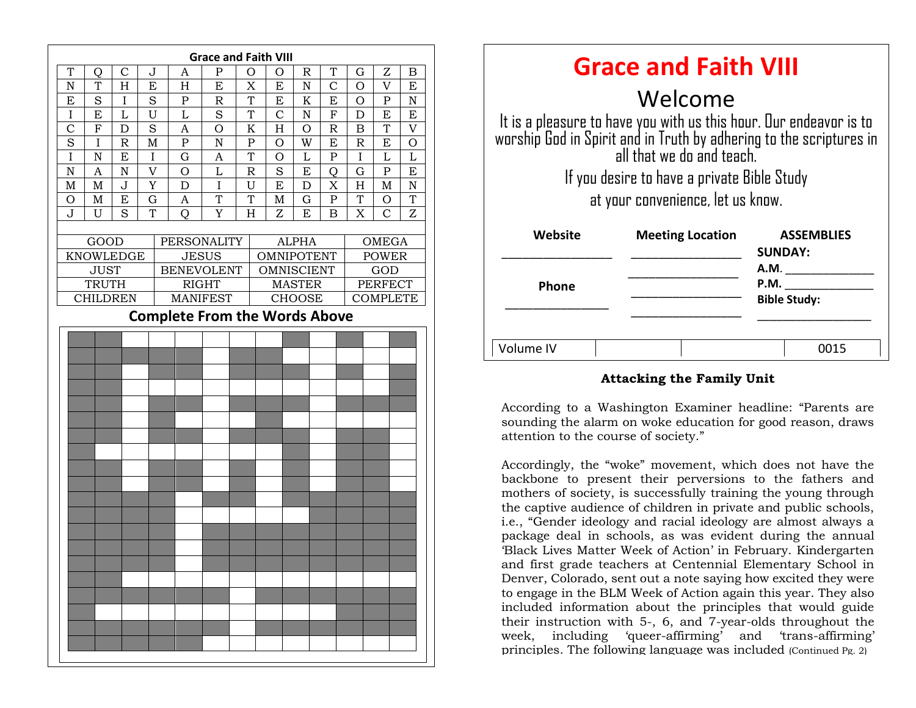

| <b>Grace and Faith VIII</b>                                                                                                                                            |                         |                                     |
|------------------------------------------------------------------------------------------------------------------------------------------------------------------------|-------------------------|-------------------------------------|
| Welcome                                                                                                                                                                |                         |                                     |
| It is a pleasure to have you with us this hour. Our endeavor is to<br>worship God in Spirit and in Truth by adhering to the scriptures in<br>all that we do and teach. |                         |                                     |
| If you desire to have a private Bible Study                                                                                                                            |                         |                                     |
| at your convenience, let us know.                                                                                                                                      |                         |                                     |
| Website                                                                                                                                                                | <b>Meeting Location</b> | <b>ASSEMBLIES</b><br><b>SUNDAY:</b> |
|                                                                                                                                                                        |                         | A.M.                                |
| <b>Phone</b>                                                                                                                                                           |                         | P.M.                                |
|                                                                                                                                                                        |                         | <b>Bible Study:</b>                 |
|                                                                                                                                                                        |                         |                                     |
| Volume IV                                                                                                                                                              |                         | 0015                                |

#### **Attacking the Family Unit**

According to a Washington Examiner headline: "Parents are sounding the alarm on woke education for good reason, draws attention to the course of society."

Accordingly, the "woke" movement, which does not have the backbone to present their perversions to the fathers and mothers of society, is successfully training the young through the captive audience of children in private and public schools, i.e., "Gender ideology and racial ideology are almost always a package deal in schools, as was evident during the annual 'Black Lives Matter Week of Action' in February. Kindergarten and first grade teachers at Centennial Elementary School in Denver, Colorado, sent out a note saying how excited they were to engage in the BLM Week of Action again this year. They also included information about the principles that would guide their instruction with 5-, 6, and 7-year-olds throughout the week, including 'queer-affirming' and 'trans-affirming' principles. The following language was included (Continued Pg. 2)